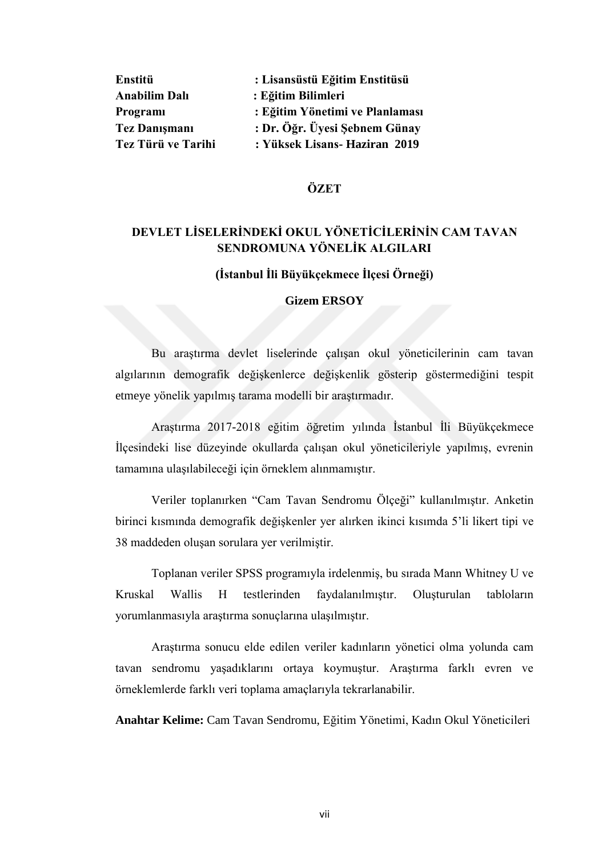| Enstitü              | : Lisansüstü Eğitim Enstitüsü   |
|----------------------|---------------------------------|
| <b>Anabilim Dalı</b> | : Eğitim Bilimleri              |
| Programi             | : Eğitim Yönetimi ve Planlaması |
| <b>Tez Danismani</b> | : Dr. Öğr. Üyesi Şebnem Günay   |
| Tez Türü ve Tarihi   | : Yüksek Lisans- Haziran 2019   |

## **ÖZET**

# **DEVLET LİSELERİNDEKİ OKUL YÖNETİCİLERİNİN CAM TAVAN SENDROMUNA YÖNELİK ALGILARI**

## **(İstanbul İli Büyükçekmece İlçesi Örneği)**

## **Gizem ERSOY**

Bu araştırma devlet liselerinde çalışan okul yöneticilerinin cam tavan algılarının demografik değişkenlerce değişkenlik gösterip göstermediğini tespit etmeye yönelik yapılmış tarama modelli bir araştırmadır.

Araştırma 2017-2018 eğitim öğretim yılında İstanbul İli Büyükçekmece İlçesindeki lise düzeyinde okullarda çalışan okul yöneticileriyle yapılmış, evrenin tamamına ulaşılabileceği için örneklem alınmamıştır.

Veriler toplanırken "Cam Tavan Sendromu Ölçeği" kullanılmıştır. Anketin birinci kısmında demografik değişkenler yer alırken ikinci kısımda 5'li likert tipi ve 38 maddeden oluşan sorulara yer verilmiştir.

Toplanan veriler SPSS programıyla irdelenmiş, bu sırada Mann Whitney U ve Kruskal Wallis H testlerinden faydalanılmıştır. Oluşturulan tabloların yorumlanmasıyla araştırma sonuçlarına ulaşılmıştır.

Araştırma sonucu elde edilen veriler kadınların yönetici olma yolunda cam tavan sendromu yaşadıklarını ortaya koymuştur. Araştırma farklı evren ve örneklemlerde farklı veri toplama amaçlarıyla tekrarlanabilir.

**Anahtar Kelime:** Cam Tavan Sendromu, Eğitim Yönetimi, Kadın Okul Yöneticileri